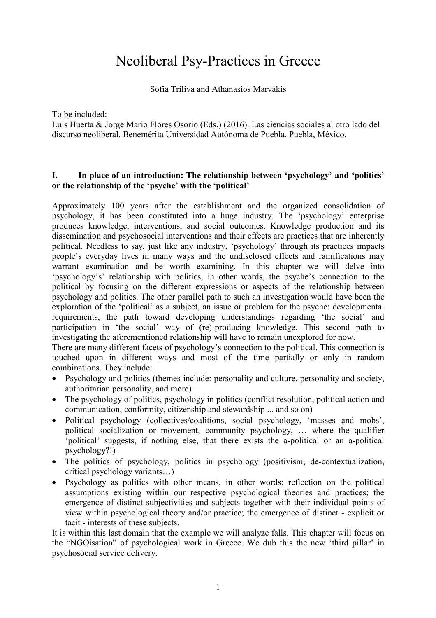# Neoliberal Psy-Practices in Greece

Sofia Triliva and Athanasios Marvakis

To be included:

Luis Huerta & Jorge Mario Flores Osorio (Eds.) (2016). Las ciencias sociales al otro lado del discurso neoliberal. Benemérita Universidad Autónoma de Puebla, Puebla, México.

### **I. In place of an introduction: The relationship between 'psychology' and 'politics' or the relationship of the 'psyche' with the 'political'**

Approximately 100 years after the establishment and the organized consolidation of psychology, it has been constituted into a huge industry. The 'psychology' enterprise produces knowledge, interventions, and social outcomes. Knowledge production and its dissemination and psychosocial interventions and their effects are practices that are inherently political. Needless to say, just like any industry, 'psychology' through its practices impacts people's everyday lives in many ways and the undisclosed effects and ramifications may warrant examination and be worth examining. In this chapter we will delve into 'psychology's' relationship with politics, in other words, the psyche's connection to the political by focusing on the different expressions or aspects of the relationship between psychology and politics. The other parallel path to such an investigation would have been the exploration of the 'political' as a subject, an issue or problem for the psyche: developmental requirements, the path toward developing understandings regarding 'the social' and participation in 'the social' way of (re)-producing knowledge. This second path to investigating the aforementioned relationship will have to remain unexplored for now.

There are many different facets of psychology's connection to the political. This connection is touched upon in different ways and most of the time partially or only in random combinations. They include:

- Psychology and politics (themes include: personality and culture, personality and society, authoritarian personality, and more)
- The psychology of politics, psychology in politics (conflict resolution, political action and communication, conformity, citizenship and stewardship ... and so on)
- Political psychology (collectives/coalitions, social psychology, 'masses and mobs', political socialization or movement, community psychology, … where the qualifier 'political' suggests, if nothing else, that there exists the a-political or an a-political psychology?!)
- The politics of psychology, politics in psychology (positivism, de-contextualization, critical psychology variants…)
- Psychology as politics with other means, in other words: reflection on the political assumptions existing within our respective psychological theories and practices; the emergence of distinct subjectivities and subjects together with their individual points of view within psychological theory and/or practice; the emergence of distinct - explicit or tacit - interests of these subjects.

It is within this last domain that the example we will analyze falls. This chapter will focus on the "NGOisation" of psychological work in Greece. We dub this the new 'third pillar' in psychosocial service delivery.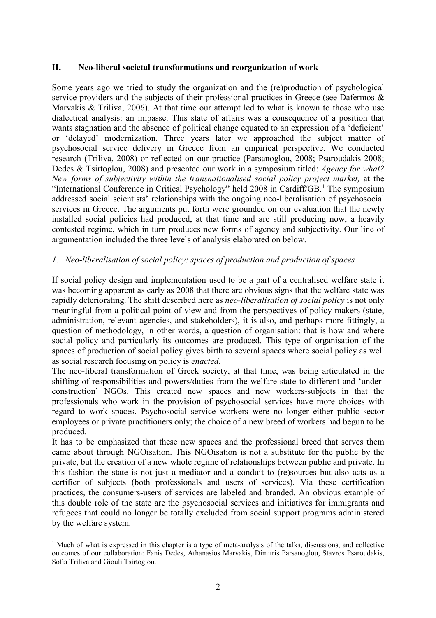## **II. Neo-liberal societal transformations and reorganization of work**

Some years ago we tried to study the organization and the (re)production of psychological service providers and the subjects of their professional practices in Greece (see Dafermos & Marvakis & Triliva, 2006). At that time our attempt led to what is known to those who use dialectical analysis: an impasse. This state of affairs was a consequence of a position that wants stagnation and the absence of political change equated to an expression of a 'deficient' or 'delayed' modernization. Three years later we approached the subject matter of psychosocial service delivery in Greece from an empirical perspective. We conducted research (Triliva, 2008) or reflected on our practice (Parsanoglou, 2008; Psaroudakis 2008; Dedes & Tsirtoglou, 2008) and presented our work in a symposium titled: *Agency for what? New forms of subjectivity within the transnationalised social policy project market,* at the "International Conference in Critical Psychology" held 2008 in Cardiff/GB.<sup>1</sup> The symposium addressed social scientists' relationships with the ongoing neo-liberalisation of psychosocial services in Greece. The arguments put forth were grounded on our evaluation that the newly installed social policies had produced, at that time and are still producing now, a heavily contested regime, which in turn produces new forms of agency and subjectivity. Our line of argumentation included the three levels of analysis elaborated on below.

# *1. Neo-liberalisation of social policy: spaces of production and production of spaces*

If social policy design and implementation used to be a part of a centralised welfare state it was becoming apparent as early as 2008 that there are obvious signs that the welfare state was rapidly deteriorating. The shift described here as *neo-liberalisation of social policy* is not only meaningful from a political point of view and from the perspectives of policy-makers (state, administration, relevant agencies, and stakeholders), it is also, and perhaps more fittingly, a question of methodology, in other words, a question of organisation: that is how and where social policy and particularly its outcomes are produced. This type of organisation of the spaces of production of social policy gives birth to several spaces where social policy as well as social research focusing on policy is *enacted*.

The neo-liberal transformation of Greek society, at that time, was being articulated in the shifting of responsibilities and powers/duties from the welfare state to different and 'underconstruction' NGOs. This created new spaces and new workers-subjects in that the professionals who work in the provision of psychosocial services have more choices with regard to work spaces. Psychosocial service workers were no longer either public sector employees or private practitioners only; the choice of a new breed of workers had begun to be produced.

It has to be emphasized that these new spaces and the professional breed that serves them came about through NGOisation. This NGOisation is not a substitute for the public by the private, but the creation of a new whole regime of relationships between public and private. In this fashion the state is not just a mediator and a conduit to (re)sources but also acts as a certifier of subjects (both professionals and users of services). Via these certification practices, the consumers-users of services are labeled and branded. An obvious example of this double role of the state are the psychosocial services and initiatives for immigrants and refugees that could no longer be totally excluded from social support programs administered by the welfare system.

 $\overline{a}$ <sup>1</sup> Much of what is expressed in this chapter is a type of meta-analysis of the talks, discussions, and collective outcomes of our collaboration: Fanis Dedes, Athanasios Marvakis, Dimitris Parsanoglou, Stavros Psaroudakis, Sofia Triliva and Giouli Tsirtoglou.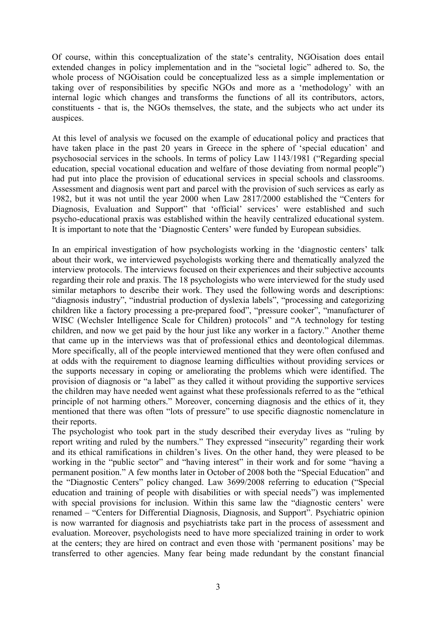Of course, within this conceptualization of the state's centrality, NGOisation does entail extended changes in policy implementation and in the "societal logic" adhered to. So, the whole process of NGO isation could be conceptualized less as a simple implementation or taking over of responsibilities by specific NGOs and more as a 'methodology' with an internal logic which changes and transforms the functions of all its contributors, actors, constituents - that is, the NGOs themselves, the state, and the subjects who act under its auspices.

At this level of analysis we focused on the example of educational policy and practices that have taken place in the past 20 years in Greece in the sphere of 'special education' and psychosocial services in the schools. In terms of policy Law 1143/1981 ("Regarding special education, special vocational education and welfare of those deviating from normal people") had put into place the provision of educational services in special schools and classrooms. Assessment and diagnosis went part and parcel with the provision of such services as early as 1982, but it was not until the year 2000 when Law 2817/2000 established the "Centers for Diagnosis, Evaluation and Support" that 'official' services' were established and such psycho-educational praxis was established within the heavily centralized educational system. It is important to note that the 'Diagnostic Centers' were funded by European subsidies.

In an empirical investigation of how psychologists working in the 'diagnostic centers' talk about their work, we interviewed psychologists working there and thematically analyzed the interview protocols. The interviews focused on their experiences and their subjective accounts regarding their role and praxis. The 18 psychologists who were interviewed for the study used similar metaphors to describe their work. They used the following words and descriptions: "diagnosis industry", "industrial production of dyslexia labels", "processing and categorizing children like a factory processing a pre-prepared food", "pressure cooker", "manufacturer of WISC (Wechsler Intelligence Scale for Children) protocols" and "A technology for testing children, and now we get paid by the hour just like any worker in a factory." Another theme that came up in the interviews was that of professional ethics and deontological dilemmas. More specifically, all of the people interviewed mentioned that they were often confused and at odds with the requirement to diagnose learning difficulties without providing services or the supports necessary in coping or ameliorating the problems which were identified. The provision of diagnosis or "a label" as they called it without providing the supportive services the children may have needed went against what these professionals referred to as the "ethical principle of not harming others." Moreover, concerning diagnosis and the ethics of it, they mentioned that there was often "lots of pressure" to use specific diagnostic nomenclature in their reports.

The psychologist who took part in the study described their everyday lives as "ruling by report writing and ruled by the numbers." They expressed "insecurity" regarding their work and its ethical ramifications in children's lives. On the other hand, they were pleased to be working in the "public sector" and "having interest" in their work and for some "having a permanent position." A few months later in October of 2008 both the "Special Education" and the "Diagnostic Centers" policy changed. Law 3699/2008 referring to education ("Special education and training of people with disabilities or with special needs") was implemented with special provisions for inclusion. Within this same law the "diagnostic centers' were renamed – "Centers for Differential Diagnosis, Diagnosis, and Support". Psychiatric opinion is now warranted for diagnosis and psychiatrists take part in the process of assessment and evaluation. Moreover, psychologists need to have more specialized training in order to work at the centers; they are hired on contract and even those with 'permanent positions' may be transferred to other agencies. Many fear being made redundant by the constant financial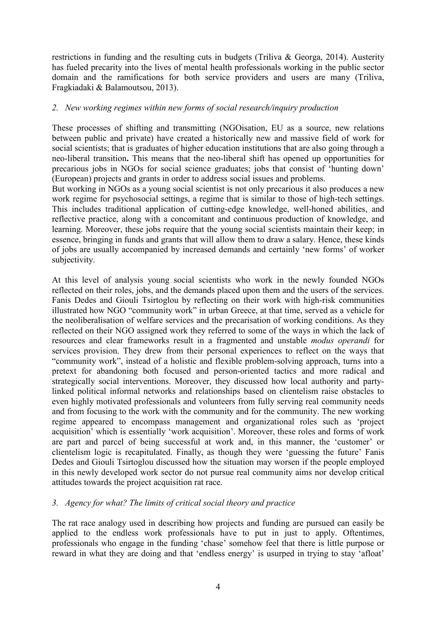restrictions in funding and the resulting cuts in budgets (Triliva & Georga, 2014). Austerity has fueled precarity into the lives of mental health professionals working in the public sector domain and the ramifications for both service providers and users are many (Triliva, Fragkiadaki & Balamoutsou, 2013).

### *2. New working regimes within new forms of social research/inquiry production*

These processes of shifting and transmitting (NGOisation, EU as a source, new relations between public and private) have created a historically new and massive field of work for social scientists; that is graduates of higher education institutions that are also going through a neo-liberal transition**.** This means that the neo-liberal shift has opened up opportunities for precarious jobs in NGOs for social science graduates; jobs that consist of 'hunting down' (European) projects and grants in order to address social issues and problems.

But working in NGOs as a young social scientist is not only precarious it also produces a new work regime for psychosocial settings, a regime that is similar to those of high-tech settings. This includes traditional application of cutting-edge knowledge, well-honed abilities, and reflective practice, along with a concomitant and continuous production of knowledge, and learning. Moreover, these jobs require that the young social scientists maintain their keep; in essence, bringing in funds and grants that will allow them to draw a salary. Hence, these kinds of jobs are usually accompanied by increased demands and certainly 'new forms' of worker subjectivity.

At this level of analysis young social scientists who work in the newly founded NGOs reflected on their roles, jobs, and the demands placed upon them and the users of the services. Fanis Dedes and Giouli Tsirtoglou by reflecting on their work with high-risk communities illustrated how NGO "community work" in urban Greece, at that time, served as a vehicle for the neoliberalisation of welfare services and the precarisation of working conditions. As they reflected on their NGO assigned work they referred to some of the ways in which the lack of resources and clear frameworks result in a fragmented and unstable *modus operandi* for services provision. They drew from their personal experiences to reflect on the ways that "community work", instead of a holistic and flexible problem-solving approach, turns into a pretext for abandoning both focused and person-oriented tactics and more radical and strategically social interventions. Moreover, they discussed how local authority and partylinked political informal networks and relationships based on clientelism raise obstacles to even highly motivated professionals and volunteers from fully serving real community needs and from focusing to the work with the community and for the community. The new working regime appeared to encompass management and organizational roles such as 'project acquisition' which is essentially 'work acquisition'. Moreover, these roles and forms of work are part and parcel of being successful at work and, in this manner, the 'customer' or clientelism logic is recapitulated. Finally, as though they were 'guessing the future' Fanis Dedes and Giouli Tsirtoglou discussed how the situation may worsen if the people employed in this newly developed work sector do not pursue real community aims nor develop critical attitudes towards the project acquisition rat race.

# *3. Agency for what? The limits of critical social theory and practice*

The rat race analogy used in describing how projects and funding are pursued can easily be applied to the endless work professionals have to put in just to apply. Oftentimes, professionals who engage in the funding 'chase' somehow feel that there is little purpose or reward in what they are doing and that 'endless energy' is usurped in trying to stay 'afloat'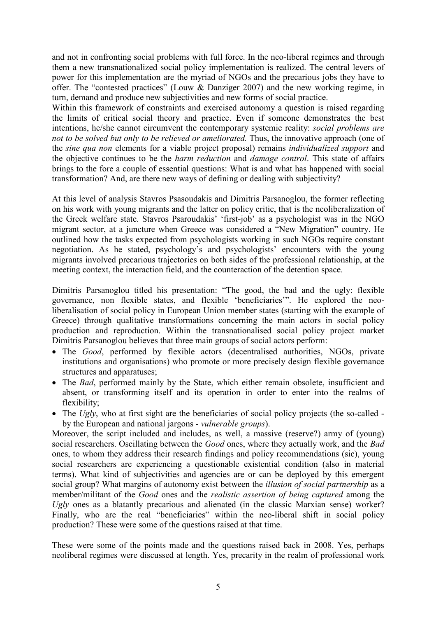and not in confronting social problems with full force. In the neo-liberal regimes and through them a new transnationalized social policy implementation is realized. The central levers of power for this implementation are the myriad of NGOs and the precarious jobs they have to offer. The "contested practices" (Louw & Danziger 2007) and the new working regime, in turn, demand and produce new subjectivities and new forms of social practice.

Within this framework of constraints and exercised autonomy a question is raised regarding the limits of critical social theory and practice. Even if someone demonstrates the best intentions, he/she cannot circumvent the contemporary systemic reality: *social problems are not to be solved but only to be relieved or ameliorated.* Thus, the innovative approach (one of the *sine qua non* elements for a viable project proposal) remains *individualized support* and the objective continues to be the *harm reduction* and *damage control*. This state of affairs brings to the fore a couple of essential questions: What is and what has happened with social transformation? And, are there new ways of defining or dealing with subjectivity?

At this level of analysis Stavros Psasoudakis and Dimitris Parsanoglou, the former reflecting on his work with young migrants and the latter on policy critic, that is the neoliberalization of the Greek welfare state. Stavros Psaroudakis' 'first-job' as a psychologist was in the NGO migrant sector, at a juncture when Greece was considered a "New Migration" country. He outlined how the tasks expected from psychologists working in such NGOs require constant negotiation. As he stated, psychology's and psychologists' encounters with the young migrants involved precarious trajectories on both sides of the professional relationship, at the meeting context, the interaction field, and the counteraction of the detention space.

Dimitris Parsanoglou titled his presentation: "The good, the bad and the ugly: flexible governance, non flexible states, and flexible 'beneficiaries'". He explored the neoliberalisation of social policy in European Union member states (starting with the example of Greece) through qualitative transformations concerning the main actors in social policy production and reproduction. Within the transnationalised social policy project market Dimitris Parsanoglou believes that three main groups of social actors perform:

- The *Good*, performed by flexible actors (decentralised authorities, NGOs, private institutions and organisations) who promote or more precisely design flexible governance structures and apparatuses;
- The *Bad*, performed mainly by the State, which either remain obsolete, insufficient and absent, or transforming itself and its operation in order to enter into the realms of flexibility;
- The *Ugly*, who at first sight are the beneficiaries of social policy projects (the so-called by the European and national jargons - *vulnerable groups*).

Moreover, the script included and includes, as well, a massive (reserve?) army of (young) social researchers. Oscillating between the *Good* ones, where they actually work, and the *Bad* ones, to whom they address their research findings and policy recommendations (sic), young social researchers are experiencing a questionable existential condition (also in material terms). What kind of subjectivities and agencies are or can be deployed by this emergent social group? What margins of autonomy exist between the *illusion of social partnership* as a member/militant of the *Good* ones and the *realistic assertion of being captured* among the *Ugly* ones as a blatantly precarious and alienated (in the classic Marxian sense) worker? Finally, who are the real "beneficiaries" within the neo-liberal shift in social policy production? These were some of the questions raised at that time.

These were some of the points made and the questions raised back in 2008. Yes, perhaps neoliberal regimes were discussed at length. Yes, precarity in the realm of professional work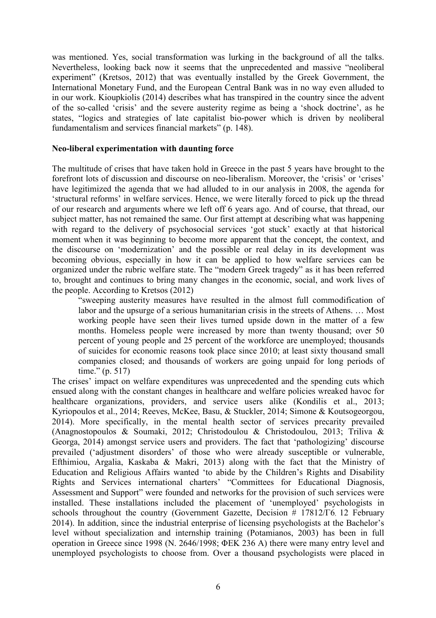was mentioned. Yes, social transformation was lurking in the background of all the talks. Nevertheless, looking back now it seems that the unprecedented and massive "neoliberal experiment" (Kretsos, 2012) that was eventually installed by the Greek Government, the International Monetary Fund, and the European Central Bank was in no way even alluded to in our work. Kioupkiolis (2014) describes what has transpired in the country since the advent of the so-called 'crisis' and the severe austerity regime as being a 'shock doctrine', as he states, "logics and strategies of late capitalist bio-power which is driven by neoliberal fundamentalism and services financial markets" (p. 148).

#### **Neo-liberal experimentation with daunting force**

The multitude of crises that have taken hold in Greece in the past 5 years have brought to the forefront lots of discussion and discourse on neo-liberalism. Moreover, the 'crisis' or 'crises' have legitimized the agenda that we had alluded to in our analysis in 2008, the agenda for 'structural reforms' in welfare services. Hence, we were literally forced to pick up the thread of our research and arguments where we left off 6 years ago. And of course, that thread, our subject matter, has not remained the same. Our first attempt at describing what was happening with regard to the delivery of psychosocial services 'got stuck' exactly at that historical moment when it was beginning to become more apparent that the concept, the context, and the discourse on 'modernization' and the possible or real delay in its development was becoming obvious, especially in how it can be applied to how welfare services can be organized under the rubric welfare state. The "modern Greek tragedy" as it has been referred to, brought and continues to bring many changes in the economic, social, and work lives of the people. According to Kretsos (2012)

"sweeping austerity measures have resulted in the almost full commodification of labor and the upsurge of a serious humanitarian crisis in the streets of Athens. … Most working people have seen their lives turned upside down in the matter of a few months. Homeless people were increased by more than twenty thousand; over 50 percent of young people and 25 percent of the workforce are unemployed; thousands of suicides for economic reasons took place since 2010; at least sixty thousand small companies closed; and thousands of workers are going unpaid for long periods of time." (p. 517)

The crises' impact on welfare expenditures was unprecedented and the spending cuts which ensued along with the constant changes in healthcare and welfare policies wreaked havoc for healthcare organizations, providers, and service users alike (Kondilis et al., 2013; Kyriopoulos et al., 2014; Reeves, McKee, Basu, & Stuckler, 2014; Simone & Koutsogeorgou, 2014). More specifically, in the mental health sector of services precarity prevailed (Anagnostopoulos & Soumaki, 2012; Christodoulou & Christodoulou, 2013; Triliva & Georga, 2014) amongst service users and providers. The fact that 'pathologizing' discourse prevailed ('adjustment disorders' of those who were already susceptible or vulnerable, Efthimiou, Argalia, Kaskaba & Makri, 2013) along with the fact that the Ministry of Education and Religious Affairs wanted 'to abide by the Children's Rights and Disability Rights and Services international charters' "Committees for Educational Diagnosis, Assessment and Support" were founded and networks for the provision of such services were installed. These installations included the placement of 'unemployed' psychologists in schools throughout the country (Government Gazette, Decision # 17812/Γ6, 12 February 2014). In addition, since the industrial enterprise of licensing psychologists at the Bachelor's level without specialization and internship training (Potamianos, 2003) has been in full operation in Greece since 1998 (Ν. 2646/1998; ΦΕΚ 236 Α) there were many entry level and unemployed psychologists to choose from. Over a thousand psychologists were placed in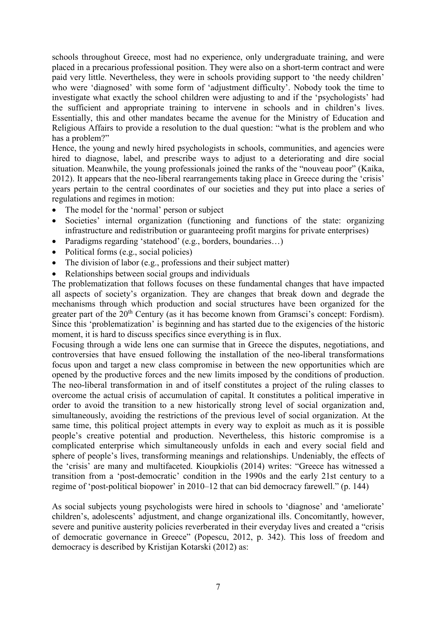schools throughout Greece, most had no experience, only undergraduate training, and were placed in a precarious professional position. They were also on a short-term contract and were paid very little. Nevertheless, they were in schools providing support to 'the needy children' who were 'diagnosed' with some form of 'adjustment difficulty'. Nobody took the time to investigate what exactly the school children were adjusting to and if the 'psychologists' had the sufficient and appropriate training to intervene in schools and in children's lives. Essentially, this and other mandates became the avenue for the Ministry of Education and Religious Affairs to provide a resolution to the dual question: "what is the problem and who has a problem?"

Hence, the young and newly hired psychologists in schools, communities, and agencies were hired to diagnose, label, and prescribe ways to adjust to a deteriorating and dire social situation. Meanwhile, the young professionals joined the ranks of the "nouveau poor" (Kaika, 2012). It appears that the neo-liberal rearrangements taking place in Greece during the 'crisis' years pertain to the central coordinates of our societies and they put into place a series of regulations and regimes in motion:

- The model for the 'normal' person or subject
- Societies' internal organization (functioning and functions of the state: organizing infrastructure and redistribution or guaranteeing profit margins for private enterprises)
- Paradigms regarding 'statehood' (e.g., borders, boundaries...)
- Political forms (e.g., social policies)
- The division of labor (e.g., professions and their subject matter)
- Relationships between social groups and individuals

The problematization that follows focuses on these fundamental changes that have impacted all aspects of society's organization. They are changes that break down and degrade the mechanisms through which production and social structures have been organized for the greater part of the 20<sup>th</sup> Century (as it has become known from Gramsci's concept: Fordism). Since this 'problematization' is beginning and has started due to the exigencies of the historic moment, it is hard to discuss specifics since everything is in flux.

Focusing through a wide lens one can surmise that in Greece the disputes, negotiations, and controversies that have ensued following the installation of the neo-liberal transformations focus upon and target a new class compromise in between the new opportunities which are opened by the productive forces and the new limits imposed by the conditions of production. The neo-liberal transformation in and of itself constitutes a project of the ruling classes to overcome the actual crisis of accumulation of capital. It constitutes a political imperative in order to avoid the transition to a new historically strong level of social organization and, simultaneously, avoiding the restrictions of the previous level of social organization. At the same time, this political project attempts in every way to exploit as much as it is possible people's creative potential and production. Nevertheless, this historic compromise is a complicated enterprise which simultaneously unfolds in each and every social field and sphere of people's lives, transforming meanings and relationships. Undeniably, the effects of the 'crisis' are many and multifaceted. Kioupkiolis (2014) writes: "Greece has witnessed a transition from a 'post-democratic' condition in the 1990s and the early 21st century to a regime of 'post-political biopower' in 2010–12 that can bid democracy farewell." (p. 144)

As social subjects young psychologists were hired in schools to 'diagnose' and 'ameliorate' children's, adolescents' adjustment, and change organizational ills. Concomitantly, however, severe and punitive austerity policies reverberated in their everyday lives and created a "crisis of democratic governance in Greece" (Popescu, 2012, p. 342). This loss of freedom and democracy is described by Kristijan Kotarski (2012) as: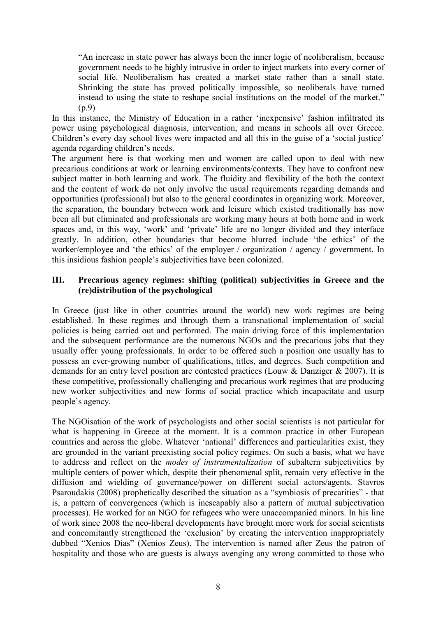"An increase in state power has always been the inner logic of neoliberalism, because government needs to be highly intrusive in order to inject markets into every corner of social life. Neoliberalism has created a market state rather than a small state. Shrinking the state has proved politically impossible, so neoliberals have turned instead to using the state to reshape social institutions on the model of the market." (p.9)

In this instance, the Ministry of Education in a rather 'inexpensive' fashion infiltrated its power using psychological diagnosis, intervention, and means in schools all over Greece. Children's every day school lives were impacted and all this in the guise of a 'social justice' agenda regarding children's needs.

The argument here is that working men and women are called upon to deal with new precarious conditions at work or learning environments/contexts. They have to confront new subject matter in both learning and work. The fluidity and flexibility of the both the context and the content of work do not only involve the usual requirements regarding demands and opportunities (professional) but also to the general coordinates in organizing work. Moreover, the separation, the boundary between work and leisure which existed traditionally has now been all but eliminated and professionals are working many hours at both home and in work spaces and, in this way, 'work' and 'private' life are no longer divided and they interface greatly. In addition, other boundaries that become blurred include 'the ethics' of the worker/employee and 'the ethics' of the employer / organization / agency / government. In this insidious fashion people's subjectivities have been colonized.

# **III. Precarious agency regimes: shifting (political) subjectivities in Greece and the (re)distribution of the psychological**

In Greece (just like in other countries around the world) new work regimes are being established. In these regimes and through them a transnational implementation of social policies is being carried out and performed. The main driving force of this implementation and the subsequent performance are the numerous NGOs and the precarious jobs that they usually offer young professionals. In order to be offered such a position one usually has to possess an ever-growing number of qualifications, titles, and degrees. Such competition and demands for an entry level position are contested practices (Louw & Danziger & 2007). It is these competitive, professionally challenging and precarious work regimes that are producing new worker subjectivities and new forms of social practice which incapacitate and usurp people's agency.

The NGOisation of the work of psychologists and other social scientists is not particular for what is happening in Greece at the moment. It is a common practice in other European countries and across the globe. Whatever 'national' differences and particularities exist, they are grounded in the variant preexisting social policy regimes. On such a basis, what we have to address and reflect on the *modes of instrumentalization* of subaltern subjectivities by multiple centers of power which, despite their phenomenal split, remain very effective in the diffusion and wielding of governance/power on different social actors/agents. Stavros Psaroudakis (2008) prophetically described the situation as a "symbiosis of precarities" - that is, a pattern of convergences (which is inescapably also a pattern of mutual subjectivation processes). He worked for an NGO for refugees who were unaccompanied minors. In his line of work since 2008 the neo-liberal developments have brought more work for social scientists and concomitantly strengthened the 'exclusion' by creating the intervention inappropriately dubbed "Xenios Dias" (Xenios Zeus). The intervention is named after Zeus the patron of hospitality and those who are guests is always avenging any wrong committed to those who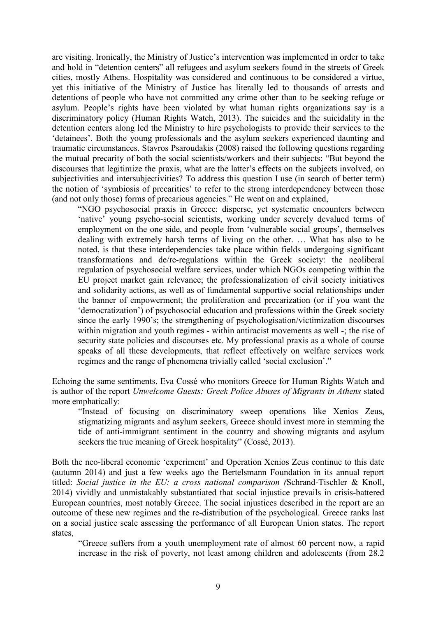are visiting. Ironically, the Ministry of Justice's intervention was implemented in order to take and hold in "detention centers" all refugees and asylum seekers found in the streets of Greek cities, mostly Athens. Hospitality was considered and continuous to be considered a virtue, yet this initiative of the Ministry of Justice has literally led to thousands of arrests and detentions of people who have not committed any crime other than to be seeking refuge or asylum. People's rights have been violated by what human rights organizations say is a discriminatory policy (Human Rights Watch, 2013). The suicides and the suicidality in the detention centers along led the Ministry to hire psychologists to provide their services to the 'detainees'. Both the young professionals and the asylum seekers experienced daunting and traumatic circumstances. Stavros Psaroudakis (2008) raised the following questions regarding the mutual precarity of both the social scientists/workers and their subjects: "But beyond the discourses that legitimize the praxis, what are the latter's effects on the subjects involved, on subjectivities and intersubjectivities? To address this question I use (in search of better term) the notion of 'symbiosis of precarities' to refer to the strong interdependency between those (and not only those) forms of precarious agencies." He went on and explained,

"NGO psychosocial praxis in Greece: disperse, yet systematic encounters between 'native' young psycho-social scientists, working under severely devalued terms of employment on the one side, and people from 'vulnerable social groups', themselves dealing with extremely harsh terms of living on the other. … What has also to be noted, is that these interdependencies take place within fields undergoing significant transformations and de/re-regulations within the Greek society: the neoliberal regulation of psychosocial welfare services, under which NGOs competing within the EU project market gain relevance; the professionalization of civil society initiatives and solidarity actions, as well as of fundamental supportive social relationships under the banner of empowerment; the proliferation and precarization (or if you want the 'democratization') of psychosocial education and professions within the Greek society since the early 1990's; the strengthening of psychologisation/victimization discourses within migration and youth regimes - within antiracist movements as well -; the rise of security state policies and discourses etc. My professional praxis as a whole of course speaks of all these developments, that reflect effectively on welfare services work regimes and the range of phenomena trivially called 'social exclusion'."

Echoing the same sentiments, Eva Cossé who monitors Greece for Human Rights Watch and is author of the report *Unwelcome Guests: Greek Police Abuses of Migrants in Athens* stated more emphatically:

"Instead of focusing on discriminatory sweep operations like Xenios Zeus, stigmatizing migrants and asylum seekers, Greece should invest more in stemming the tide of anti-immigrant sentiment in the country and showing migrants and asylum seekers the true meaning of Greek hospitality" (Cossé, 2013).

Both the neo-liberal economic 'experiment' and Operation Xenios Zeus continue to this date (autumn 2014) and just a few weeks ago the Bertelsmann Foundation in its annual report titled: *Social justice in the EU: a cross national comparison (*Schrand-Tischler & Knoll, 2014) vividly and unmistakably substantiated that social injustice prevails in crisis-battered European countries, most notably Greece. The social injustices described in the report are an outcome of these new regimes and the re-distribution of the psychological. Greece ranks last on a social justice scale assessing the performance of all European Union states. The report states,

"Greece suffers from a youth unemployment rate of almost 60 percent now, a rapid increase in the risk of poverty, not least among children and adolescents (from 28.2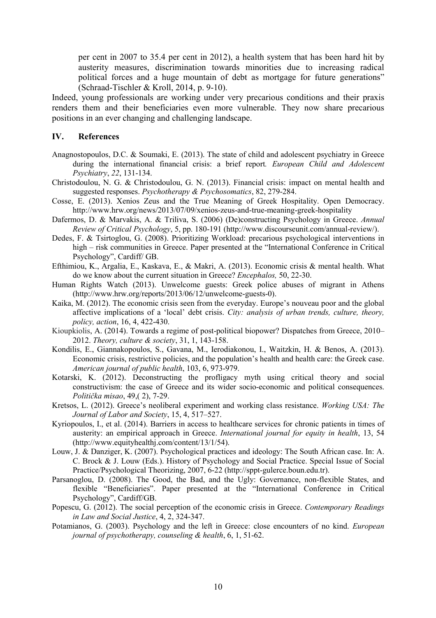per cent in 2007 to 35.4 per cent in 2012), a health system that has been hard hit by austerity measures, discrimination towards minorities due to increasing radical political forces and a huge mountain of debt as mortgage for future generations" (Schraad-Tischler & Kroll, 2014, p. 9-10).

Indeed, young professionals are working under very precarious conditions and their praxis renders them and their beneficiaries even more vulnerable. They now share precarious positions in an ever changing and challenging landscape.

#### **IV. References**

- Anagnostopoulos, D.C. & Soumaki, E. (2013). The state of child and adolescent psychiatry in Greece during the international financial crisis: a brief report*. European Child and Adolescent Psychiatry*, *22*, 131-134.
- Christodoulou, N. G. & Christodoulou, G. N. (2013). Financial crisis: impact on mental health and suggested responses. *Psychotherapy & Psychosomatics*, 82, 279-284.
- Cosse, E. (2013). Xenios Zeus and the True Meaning of Greek Hospitality. Open Democracy. http://www.hrw.org/news/2013/07/09/xenios-zeus-and-true-meaning-greek-hospitality
- Dafermos, D. & Marvakis, A. & Triliva, S. (2006) (De)constructing Psychology in Greece. *Annual Review of Critical Psychology*, 5, pp. 180-191 (http://www.discourseunit.com/annual-review/).
- Dedes, F. & Tsirtoglou, G. (2008). Prioritizing Workload: precarious psychological interventions in high – risk communities in Greece. Paper presented at the "International Conference in Critical Psychology", Cardiff/ GB.
- Efthimiou, K., Argalia, E., Kaskava, E., & Makri, A. (2013). Economic crisis & mental health. What do we know about the current situation in Greece? *Encephalos,* 50, 22-30.
- Human Rights Watch (2013). Unwelcome guests: Greek police abuses of migrant in Athens (http://www.hrw.org/reports/2013/06/12/unwelcome-guests-0).
- Kaika, M. (2012). The economic crisis seen from the everyday. Europe's nouveau poor and the global affective implications of a 'local' debt crisis. *City: analysis of urban trends, culture, theory, policy, action*, 16, 4, 422-430.
- Kioupkiolis, A. (2014). Towards a regime of post-political biopower? Dispatches from Greece, 2010– 2012. *Theory, culture & society*, 31, 1, 143-158.
- Kondilis, E., Giannakopoulos, S., Gavana, M., Ierodiakonou, I., Waitzkin, H. & Benos, A. (2013). Economic crisis, restrictive policies, and the population's health and health care: the Greek case. *American journal of public health*, 103, 6, 973-979.
- Kotarski, K. (2012). Deconstructing the profligacy myth using critical theory and social constructivism: the case of Greece and its wider socio-economic and political consequences. *Politička misao*, 49,( 2), 7-29.
- Kretsos, L. (2012). Greece's neoliberal experiment and working class resistance. *Working USA: The Journal of Labor and Society*, 15, 4, 517–527.
- Kyriopoulos, I., et al. (2014). Barriers in access to healthcare services for chronic patients in times of austerity: an empirical approach in Greece. *International journal for equity in health*, 13, 54 (http://www.equityhealthj.com/content/13/1/54).
- Louw, J. & Danziger, K. (2007). Psychological practices and ideology: The South African case. In: A. C. Brock & J. Louw (Eds.). History of Psychology and Social Practice. Special Issue of Social Practice/Psychological Theorizing, 2007, 6-22 (http://sppt-gulerce.boun.edu.tr).
- Parsanoglou, D. (2008). The Good, the Bad, and the Ugly: Governance, non-flexible States, and flexible "Beneficiaries". Paper presented at the "International Conference in Critical Psychology", Cardiff/GB.
- Popescu, G. (2012). The social perception of the economic crisis in Greece. *Contemporary Readings in Law and Social Justice*, 4, 2, 324-347.
- Potamianos, G. (2003). Psychology and the left in Greece: close encounters of no kind. *European journal of psychotherapy, counseling & health*, 6, 1, 51-62.